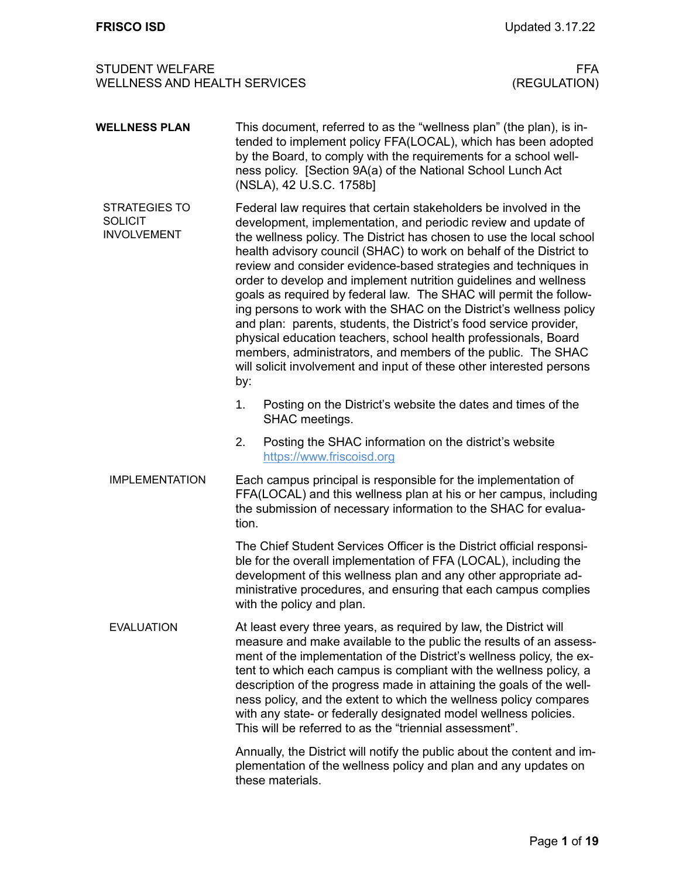| <b>WELLNESS PLAN</b>                                         | This document, referred to as the "wellness plan" (the plan), is in-<br>tended to implement policy FFA(LOCAL), which has been adopted<br>by the Board, to comply with the requirements for a school well-<br>ness policy. [Section 9A(a) of the National School Lunch Act<br>(NSLA), 42 U.S.C. 1758b]                                                                                                                                                                                                                                                                                                                                                                                                                                                                                                                                                          |
|--------------------------------------------------------------|----------------------------------------------------------------------------------------------------------------------------------------------------------------------------------------------------------------------------------------------------------------------------------------------------------------------------------------------------------------------------------------------------------------------------------------------------------------------------------------------------------------------------------------------------------------------------------------------------------------------------------------------------------------------------------------------------------------------------------------------------------------------------------------------------------------------------------------------------------------|
| <b>STRATEGIES TO</b><br><b>SOLICIT</b><br><b>INVOLVEMENT</b> | Federal law requires that certain stakeholders be involved in the<br>development, implementation, and periodic review and update of<br>the wellness policy. The District has chosen to use the local school<br>health advisory council (SHAC) to work on behalf of the District to<br>review and consider evidence-based strategies and techniques in<br>order to develop and implement nutrition guidelines and wellness<br>goals as required by federal law. The SHAC will permit the follow-<br>ing persons to work with the SHAC on the District's wellness policy<br>and plan: parents, students, the District's food service provider,<br>physical education teachers, school health professionals, Board<br>members, administrators, and members of the public. The SHAC<br>will solicit involvement and input of these other interested persons<br>by: |
|                                                              | 1.<br>Posting on the District's website the dates and times of the<br>SHAC meetings.                                                                                                                                                                                                                                                                                                                                                                                                                                                                                                                                                                                                                                                                                                                                                                           |
|                                                              | 2.<br>Posting the SHAC information on the district's website<br>https://www.friscoisd.org                                                                                                                                                                                                                                                                                                                                                                                                                                                                                                                                                                                                                                                                                                                                                                      |
| <b>IMPLEMENTATION</b>                                        | Each campus principal is responsible for the implementation of<br>FFA(LOCAL) and this wellness plan at his or her campus, including<br>the submission of necessary information to the SHAC for evalua-<br>tion.                                                                                                                                                                                                                                                                                                                                                                                                                                                                                                                                                                                                                                                |
|                                                              | The Chief Student Services Officer is the District official responsi-<br>ble for the overall implementation of FFA (LOCAL), including the<br>development of this wellness plan and any other appropriate ad-<br>ministrative procedures, and ensuring that each campus complies<br>with the policy and plan.                                                                                                                                                                                                                                                                                                                                                                                                                                                                                                                                                   |
| <b>EVALUATION</b>                                            | At least every three years, as required by law, the District will<br>measure and make available to the public the results of an assess-<br>ment of the implementation of the District's wellness policy, the ex-<br>tent to which each campus is compliant with the wellness policy, a<br>description of the progress made in attaining the goals of the well-<br>ness policy, and the extent to which the wellness policy compares<br>with any state- or federally designated model wellness policies.<br>This will be referred to as the "triennial assessment".                                                                                                                                                                                                                                                                                             |
|                                                              | Annually, the District will notify the public about the content and im-<br>plementation of the wellness policy and plan and any updates on<br>these materials.                                                                                                                                                                                                                                                                                                                                                                                                                                                                                                                                                                                                                                                                                                 |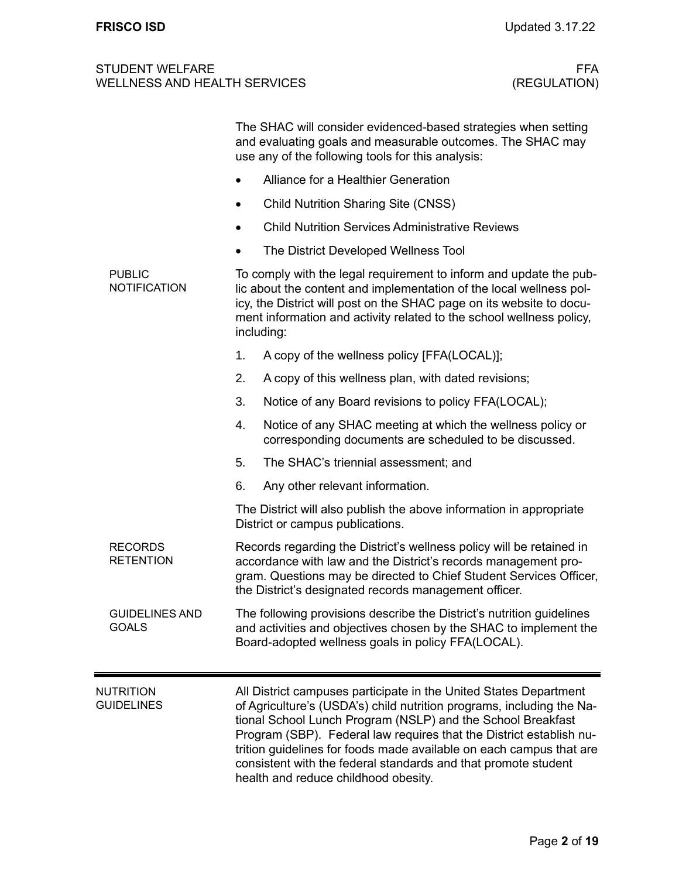|                                       | The SHAC will consider evidenced-based strategies when setting<br>and evaluating goals and measurable outcomes. The SHAC may<br>use any of the following tools for this analysis:                                                                                                                                                                                                                                                                                 |  |  |  |  |
|---------------------------------------|-------------------------------------------------------------------------------------------------------------------------------------------------------------------------------------------------------------------------------------------------------------------------------------------------------------------------------------------------------------------------------------------------------------------------------------------------------------------|--|--|--|--|
|                                       | Alliance for a Healthier Generation                                                                                                                                                                                                                                                                                                                                                                                                                               |  |  |  |  |
|                                       | <b>Child Nutrition Sharing Site (CNSS)</b>                                                                                                                                                                                                                                                                                                                                                                                                                        |  |  |  |  |
|                                       | <b>Child Nutrition Services Administrative Reviews</b>                                                                                                                                                                                                                                                                                                                                                                                                            |  |  |  |  |
|                                       | The District Developed Wellness Tool                                                                                                                                                                                                                                                                                                                                                                                                                              |  |  |  |  |
| <b>PUBLIC</b><br><b>NOTIFICATION</b>  | To comply with the legal requirement to inform and update the pub-<br>lic about the content and implementation of the local wellness pol-<br>icy, the District will post on the SHAC page on its website to docu-<br>ment information and activity related to the school wellness policy,<br>including:                                                                                                                                                           |  |  |  |  |
|                                       | A copy of the wellness policy [FFA(LOCAL)];<br>1.                                                                                                                                                                                                                                                                                                                                                                                                                 |  |  |  |  |
|                                       | 2.<br>A copy of this wellness plan, with dated revisions;                                                                                                                                                                                                                                                                                                                                                                                                         |  |  |  |  |
|                                       | 3.<br>Notice of any Board revisions to policy FFA(LOCAL);                                                                                                                                                                                                                                                                                                                                                                                                         |  |  |  |  |
|                                       | Notice of any SHAC meeting at which the wellness policy or<br>4.<br>corresponding documents are scheduled to be discussed.                                                                                                                                                                                                                                                                                                                                        |  |  |  |  |
|                                       | 5.<br>The SHAC's triennial assessment; and                                                                                                                                                                                                                                                                                                                                                                                                                        |  |  |  |  |
|                                       | 6.<br>Any other relevant information.                                                                                                                                                                                                                                                                                                                                                                                                                             |  |  |  |  |
|                                       | The District will also publish the above information in appropriate<br>District or campus publications.                                                                                                                                                                                                                                                                                                                                                           |  |  |  |  |
| <b>RECORDS</b><br><b>RETENTION</b>    | Records regarding the District's wellness policy will be retained in<br>accordance with law and the District's records management pro-<br>gram. Questions may be directed to Chief Student Services Officer,<br>the District's designated records management officer.                                                                                                                                                                                             |  |  |  |  |
| <b>GUIDELINES AND</b><br><b>GOALS</b> | The following provisions describe the District's nutrition guidelines<br>and activities and objectives chosen by the SHAC to implement the<br>Board-adopted wellness goals in policy FFA(LOCAL).                                                                                                                                                                                                                                                                  |  |  |  |  |
| <b>NUTRITION</b><br><b>GUIDELINES</b> | All District campuses participate in the United States Department<br>of Agriculture's (USDA's) child nutrition programs, including the Na-<br>tional School Lunch Program (NSLP) and the School Breakfast<br>Program (SBP). Federal law requires that the District establish nu-<br>trition guidelines for foods made available on each campus that are<br>consistent with the federal standards and that promote student<br>health and reduce childhood obesity. |  |  |  |  |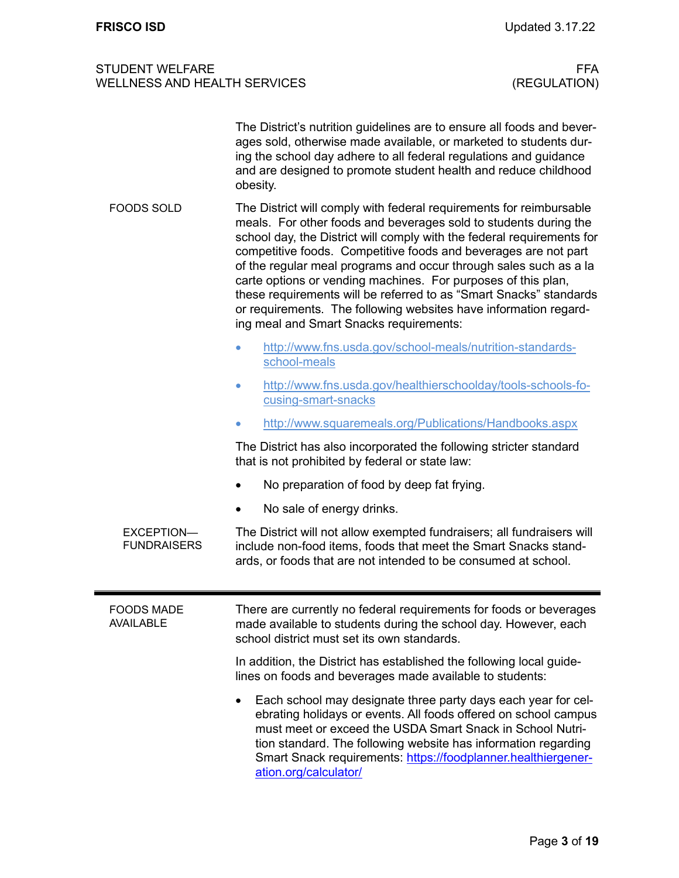|                                       | The District's nutrition guidelines are to ensure all foods and bever-<br>ages sold, otherwise made available, or marketed to students dur-<br>ing the school day adhere to all federal regulations and guidance<br>and are designed to promote student health and reduce childhood<br>obesity.                                                                                                                                                                                                                                                                                                                 |  |  |  |
|---------------------------------------|-----------------------------------------------------------------------------------------------------------------------------------------------------------------------------------------------------------------------------------------------------------------------------------------------------------------------------------------------------------------------------------------------------------------------------------------------------------------------------------------------------------------------------------------------------------------------------------------------------------------|--|--|--|
| <b>FOODS SOLD</b>                     | The District will comply with federal requirements for reimbursable<br>meals. For other foods and beverages sold to students during the<br>school day, the District will comply with the federal requirements for<br>competitive foods. Competitive foods and beverages are not part<br>of the regular meal programs and occur through sales such as a la<br>carte options or vending machines. For purposes of this plan,<br>these requirements will be referred to as "Smart Snacks" standards<br>or requirements. The following websites have information regard-<br>ing meal and Smart Snacks requirements: |  |  |  |
|                                       | http://www.fns.usda.gov/school-meals/nutrition-standards-<br>$\bullet$<br>school-meals                                                                                                                                                                                                                                                                                                                                                                                                                                                                                                                          |  |  |  |
|                                       | http://www.fns.usda.gov/healthierschoolday/tools-schools-fo-<br>$\bullet$<br>cusing-smart-snacks                                                                                                                                                                                                                                                                                                                                                                                                                                                                                                                |  |  |  |
|                                       | http://www.squaremeals.org/Publications/Handbooks.aspx<br>$\bullet$                                                                                                                                                                                                                                                                                                                                                                                                                                                                                                                                             |  |  |  |
|                                       | The District has also incorporated the following stricter standard<br>that is not prohibited by federal or state law:                                                                                                                                                                                                                                                                                                                                                                                                                                                                                           |  |  |  |
|                                       | No preparation of food by deep fat frying.<br>$\bullet$                                                                                                                                                                                                                                                                                                                                                                                                                                                                                                                                                         |  |  |  |
|                                       | No sale of energy drinks.<br>$\bullet$                                                                                                                                                                                                                                                                                                                                                                                                                                                                                                                                                                          |  |  |  |
| EXCEPTION-<br><b>FUNDRAISERS</b>      | The District will not allow exempted fundraisers; all fundraisers will<br>include non-food items, foods that meet the Smart Snacks stand-<br>ards, or foods that are not intended to be consumed at school.                                                                                                                                                                                                                                                                                                                                                                                                     |  |  |  |
| <b>FOODS MADE</b><br><b>AVAILABLE</b> | There are currently no federal requirements for foods or beverages<br>made available to students during the school day. However, each<br>school district must set its own standards.                                                                                                                                                                                                                                                                                                                                                                                                                            |  |  |  |
|                                       | In addition, the District has established the following local guide-<br>lines on foods and beverages made available to students:                                                                                                                                                                                                                                                                                                                                                                                                                                                                                |  |  |  |
|                                       | Each school may designate three party days each year for cel-<br>ebrating holidays or events. All foods offered on school campus<br>must meet or exceed the USDA Smart Snack in School Nutri-<br>tion standard. The following website has information regarding<br>Smart Snack requirements: https://foodplanner.healthiergener-<br>ation.org/calculator/                                                                                                                                                                                                                                                       |  |  |  |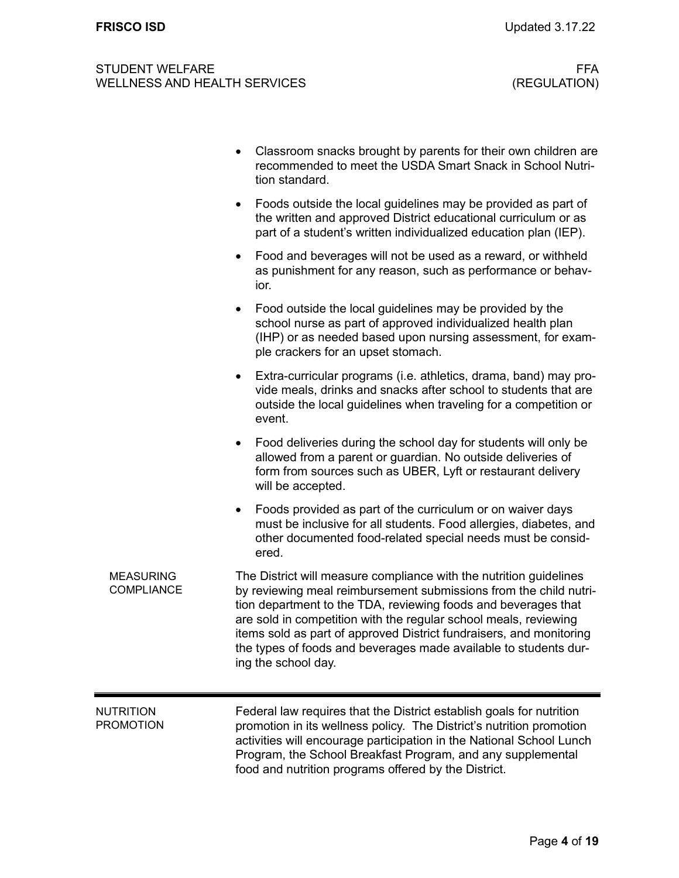|                                       | Classroom snacks brought by parents for their own children are<br>recommended to meet the USDA Smart Snack in School Nutri-<br>tion standard.                                                                                                                                                                                                                                                                                                   |
|---------------------------------------|-------------------------------------------------------------------------------------------------------------------------------------------------------------------------------------------------------------------------------------------------------------------------------------------------------------------------------------------------------------------------------------------------------------------------------------------------|
|                                       | Foods outside the local guidelines may be provided as part of<br>٠<br>the written and approved District educational curriculum or as<br>part of a student's written individualized education plan (IEP).                                                                                                                                                                                                                                        |
|                                       | Food and beverages will not be used as a reward, or withheld<br>$\bullet$<br>as punishment for any reason, such as performance or behav-<br>ior.                                                                                                                                                                                                                                                                                                |
|                                       | Food outside the local guidelines may be provided by the<br>school nurse as part of approved individualized health plan<br>(IHP) or as needed based upon nursing assessment, for exam-<br>ple crackers for an upset stomach.                                                                                                                                                                                                                    |
|                                       | Extra-curricular programs (i.e. athletics, drama, band) may pro-<br>٠<br>vide meals, drinks and snacks after school to students that are<br>outside the local guidelines when traveling for a competition or<br>event.                                                                                                                                                                                                                          |
|                                       | Food deliveries during the school day for students will only be<br>$\bullet$<br>allowed from a parent or guardian. No outside deliveries of<br>form from sources such as UBER, Lyft or restaurant delivery<br>will be accepted.                                                                                                                                                                                                                 |
|                                       | Foods provided as part of the curriculum or on waiver days<br>$\bullet$<br>must be inclusive for all students. Food allergies, diabetes, and<br>other documented food-related special needs must be consid-<br>ered.                                                                                                                                                                                                                            |
| <b>MEASURING</b><br><b>COMPLIANCE</b> | The District will measure compliance with the nutrition guidelines<br>by reviewing meal reimbursement submissions from the child nutri-<br>tion department to the TDA, reviewing foods and beverages that<br>are sold in competition with the regular school meals, reviewing<br>items sold as part of approved District fundraisers, and monitoring<br>the types of foods and beverages made available to students dur-<br>ing the school day. |
| <b>NUTRITION</b><br><b>PROMOTION</b>  | Federal law requires that the District establish goals for nutrition<br>promotion in its wellness policy. The District's nutrition promotion<br>activities will encourage participation in the National School Lunch<br>Program, the School Breakfast Program, and any supplemental<br>food and nutrition programs offered by the District.                                                                                                     |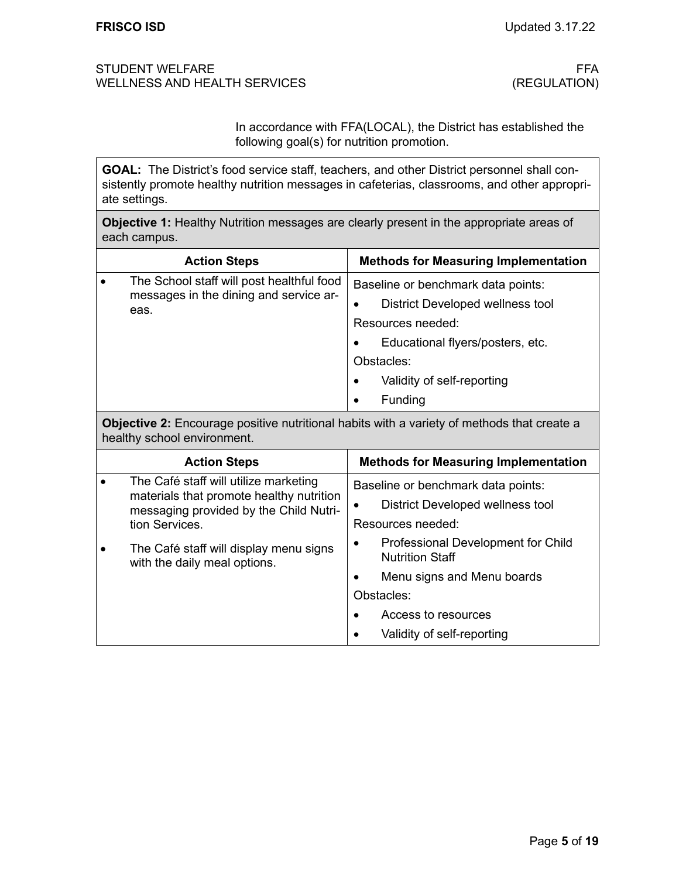In accordance with FFA(LOCAL), the District has established the following goal(s) for nutrition promotion.

**GOAL:** The District's food service staff, teachers, and other District personnel shall consistently promote healthy nutrition messages in cafeterias, classrooms, and other appropriate settings.

**Objective 1:** Healthy Nutrition messages are clearly present in the appropriate areas of each campus.

| <b>Action Steps</b>                                                                         |           | <b>Methods for Measuring Implementation</b>                                                 |
|---------------------------------------------------------------------------------------------|-----------|---------------------------------------------------------------------------------------------|
| The School staff will post healthful food<br>messages in the dining and service ar-<br>eas. |           | Baseline or benchmark data points:<br>District Developed wellness tool<br>Resources needed: |
|                                                                                             |           | Educational flyers/posters, etc.                                                            |
|                                                                                             |           | Obstacles:                                                                                  |
|                                                                                             | $\bullet$ | Validity of self-reporting                                                                  |
|                                                                                             |           | Funding                                                                                     |

**Objective 2:** Encourage positive nutritional habits with a variety of methods that create a healthy school environment.

|  | <b>Action Steps</b>                                                               | <b>Methods for Measuring Implementation</b>                  |
|--|-----------------------------------------------------------------------------------|--------------------------------------------------------------|
|  | The Café staff will utilize marketing<br>materials that promote healthy nutrition | Baseline or benchmark data points:                           |
|  | messaging provided by the Child Nutri-                                            | District Developed wellness tool                             |
|  | tion Services.                                                                    | Resources needed:                                            |
|  | The Café staff will display menu signs<br>with the daily meal options.            | Professional Development for Child<br><b>Nutrition Staff</b> |
|  |                                                                                   | Menu signs and Menu boards                                   |
|  |                                                                                   | Obstacles:                                                   |
|  |                                                                                   | Access to resources                                          |
|  |                                                                                   | Validity of self-reporting                                   |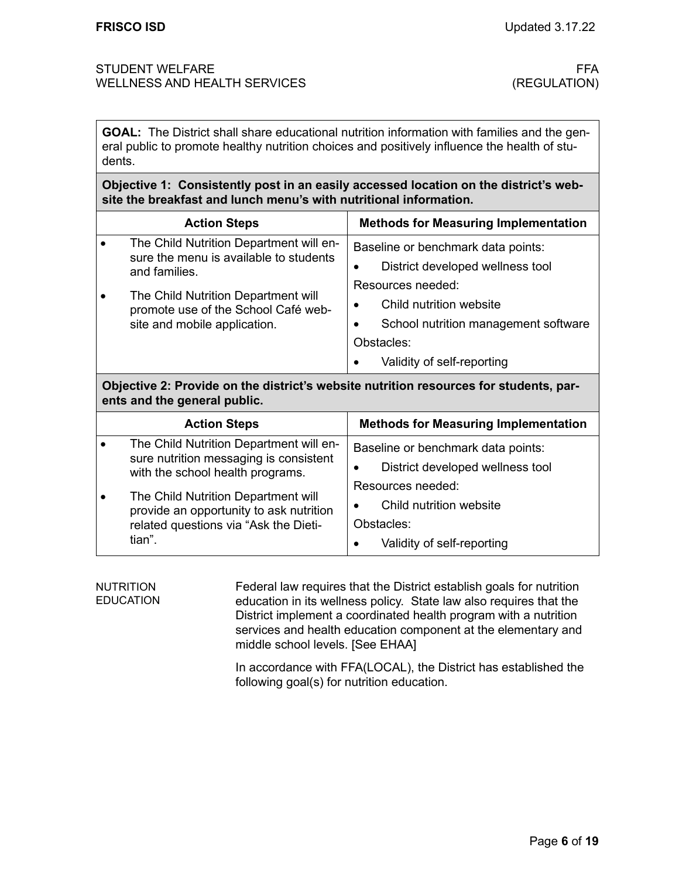**GOAL:** The District shall share educational nutrition information with families and the general public to promote healthy nutrition choices and positively influence the health of students.

**Objective 1: Consistently post in an easily accessed location on the district's website the breakfast and lunch menu's with nutritional information.** 

| <b>Action Steps</b>                                                                                                     |                                  | <b>Methods for Measuring Implementation</b>                                                              |  |
|-------------------------------------------------------------------------------------------------------------------------|----------------------------------|----------------------------------------------------------------------------------------------------------|--|
| The Child Nutrition Department will en-<br>$\bullet$<br>sure the menu is available to students<br>and families.         |                                  | Baseline or benchmark data points:                                                                       |  |
|                                                                                                                         | District developed wellness tool |                                                                                                          |  |
| The Child Nutrition Department will<br>$\bullet$<br>promote use of the School Café web-<br>site and mobile application. | Resources needed:                |                                                                                                          |  |
|                                                                                                                         |                                  | Child nutrition website                                                                                  |  |
|                                                                                                                         |                                  | School nutrition management software                                                                     |  |
|                                                                                                                         |                                  | Obstacles:                                                                                               |  |
|                                                                                                                         |                                  | Validity of self-reporting                                                                               |  |
|                                                                                                                         |                                  | . A result of the set of the set of the set of the set of the set of the set of the set of $\mathcal{A}$ |  |

**Objective 2: Provide on the district's website nutrition resources for students, parents and the general public.**

|  | <b>Action Steps</b>                                                                                                     | <b>Methods for Measuring Implementation</b> |
|--|-------------------------------------------------------------------------------------------------------------------------|---------------------------------------------|
|  | The Child Nutrition Department will en-                                                                                 | Baseline or benchmark data points:          |
|  | sure nutrition messaging is consistent<br>with the school health programs.                                              | District developed wellness tool            |
|  | The Child Nutrition Department will<br>provide an opportunity to ask nutrition<br>related questions via "Ask the Dieti- | Resources needed:                           |
|  |                                                                                                                         | Child nutrition website                     |
|  |                                                                                                                         | Obstacles:                                  |
|  | tian".                                                                                                                  | Validity of self-reporting                  |

Federal law requires that the District establish goals for nutrition education in its wellness policy. State law also requires that the District implement a coordinated health program with a nutrition services and health education component at the elementary and middle school levels. [See EHAA] NUTRITION EDUCATION

> In accordance with FFA(LOCAL), the District has established the following goal(s) for nutrition education.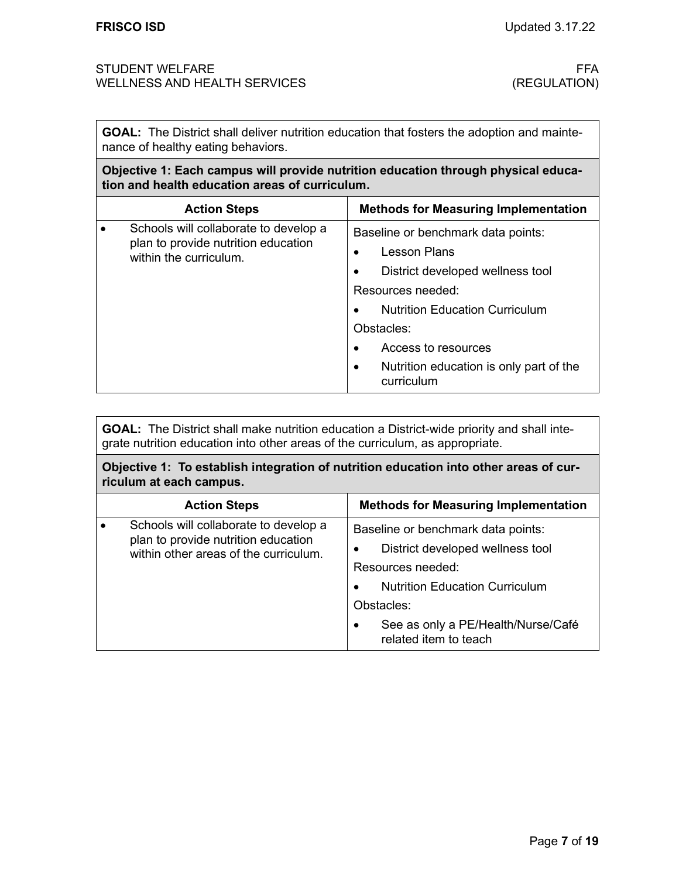**GOAL:** The District shall deliver nutrition education that fosters the adoption and maintenance of healthy eating behaviors.

## **Objective 1: Each campus will provide nutrition education through physical education and health education areas of curriculum.**

| <b>Action Steps</b>                                                                                    | <b>Methods for Measuring Implementation</b>                                                                                                                                                                                                                            |
|--------------------------------------------------------------------------------------------------------|------------------------------------------------------------------------------------------------------------------------------------------------------------------------------------------------------------------------------------------------------------------------|
| Schools will collaborate to develop a<br>plan to provide nutrition education<br>within the curriculum. | Baseline or benchmark data points:<br><b>Lesson Plans</b><br>District developed wellness tool<br>Resources needed:<br><b>Nutrition Education Curriculum</b><br>Obstacles:<br>Access to resources<br>Nutrition education is only part of the<br>$\bullet$<br>curriculum |

**GOAL:** The District shall make nutrition education a District-wide priority and shall integrate nutrition education into other areas of the curriculum, as appropriate.

**Objective 1: To establish integration of nutrition education into other areas of curriculum at each campus.** 

| <b>Action Steps</b>                                                                                                   | <b>Methods for Measuring Implementation</b>                                                                                                                                                                       |
|-----------------------------------------------------------------------------------------------------------------------|-------------------------------------------------------------------------------------------------------------------------------------------------------------------------------------------------------------------|
| Schools will collaborate to develop a<br>plan to provide nutrition education<br>within other areas of the curriculum. | Baseline or benchmark data points:<br>District developed wellness tool<br>Resources needed:<br><b>Nutrition Education Curriculum</b><br>Obstacles:<br>See as only a PE/Health/Nurse/Café<br>related item to teach |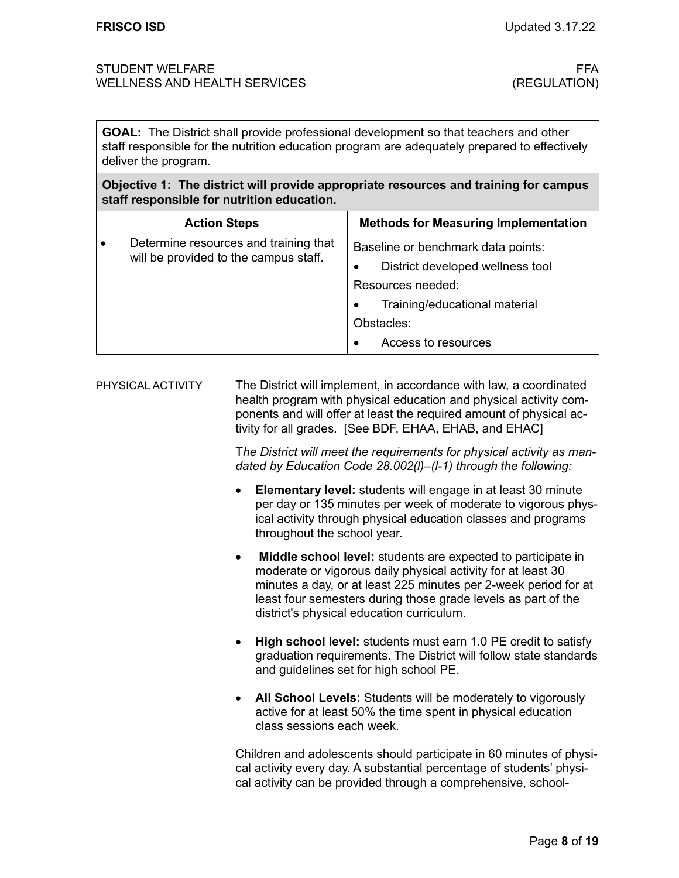**GOAL:** The District shall provide professional development so that teachers and other staff responsible for the nutrition education program are adequately prepared to effectively deliver the program.

### **Objective 1: The district will provide appropriate resources and training for campus staff responsible for nutrition education.**

|           | <b>Action Steps</b>                                                            |   | <b>Methods for Measuring Implementation</b> |
|-----------|--------------------------------------------------------------------------------|---|---------------------------------------------|
| $\bullet$ | Determine resources and training that<br>will be provided to the campus staff. |   | Baseline or benchmark data points:          |
|           |                                                                                | ٠ | District developed wellness tool            |
|           |                                                                                |   | Resources needed:                           |
|           |                                                                                |   | Training/educational material               |
|           |                                                                                |   | Obstacles:                                  |
|           |                                                                                |   | Access to resources                         |

The District will implement, in accordance with law, a coordinated health program with physical education and physical activity components and will offer at least the required amount of physical activity for all grades. [See BDF, EHAA, EHAB, and EHAC] PHYSICAL ACTIVITY

> T*he District will meet the requirements for physical activity as mandated by Education Code 28.002(l)–(l-1) through the following:*

- **Elementary level:** students will engage in at least 30 minute per day or 135 minutes per week of moderate to vigorous physical activity through physical education classes and programs throughout the school year.
- **Middle school level:** students are expected to participate in moderate or vigorous daily physical activity for at least 30 minutes a day, or at least 225 minutes per 2-week period for at least four semesters during those grade levels as part of the district's physical education curriculum.
- **High school level:** students must earn 1.0 PE credit to satisfy graduation requirements. The District will follow state standards and guidelines set for high school PE.
- **All School Levels:** Students will be moderately to vigorously active for at least 50% the time spent in physical education class sessions each week.

Children and adolescents should participate in 60 minutes of physical activity every day. A substantial percentage of students' physical activity can be provided through a comprehensive, school-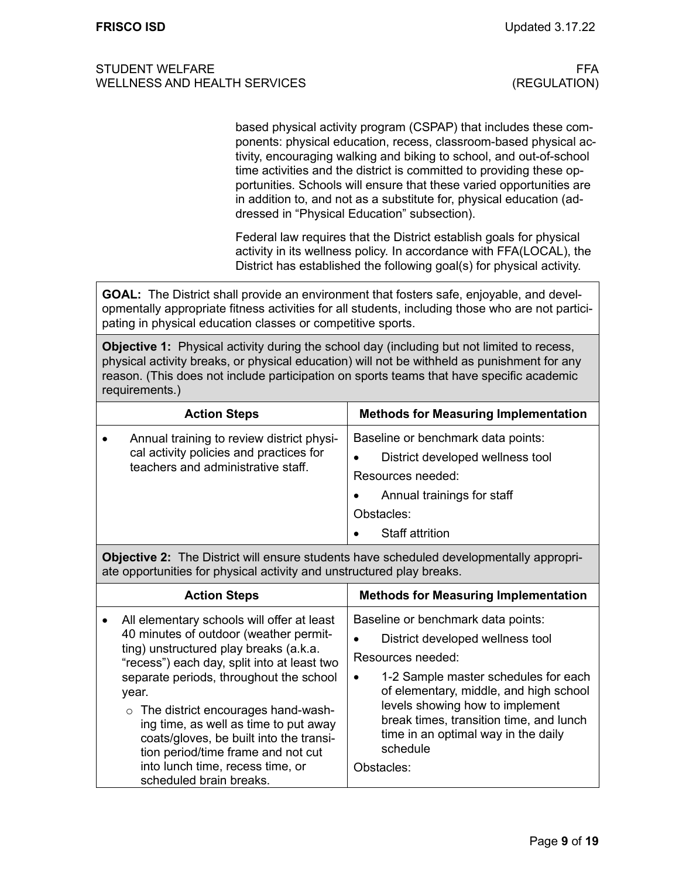based physical activity program (CSPAP) that includes these components: physical education, recess, classroom-based physical activity, encouraging walking and biking to school, and out-of-school time activities and the district is committed to providing these opportunities. Schools will ensure that these varied opportunities are in addition to, and not as a substitute for, physical education (addressed in "Physical Education" subsection).

Federal law requires that the District establish goals for physical activity in its wellness policy. In accordance with FFA(LOCAL), the District has established the following goal(s) for physical activity.

**GOAL:** The District shall provide an environment that fosters safe, enjoyable, and developmentally appropriate fitness activities for all students, including those who are not participating in physical education classes or competitive sports.

**Objective 1:** Physical activity during the school day (including but not limited to recess, physical activity breaks, or physical education) will not be withheld as punishment for any reason. (This does not include participation on sports teams that have specific academic requirements.)

|  | <b>Action Steps</b>                                                                                                        |   | <b>Methods for Measuring Implementation</b> |
|--|----------------------------------------------------------------------------------------------------------------------------|---|---------------------------------------------|
|  | Annual training to review district physi-<br>cal activity policies and practices for<br>teachers and administrative staff. |   | Baseline or benchmark data points:          |
|  |                                                                                                                            | ٠ | District developed wellness tool            |
|  |                                                                                                                            |   | Resources needed:                           |
|  |                                                                                                                            |   | Annual trainings for staff                  |
|  |                                                                                                                            |   | Obstacles:                                  |
|  |                                                                                                                            |   | <b>Staff attrition</b>                      |

**Objective 2:** The District will ensure students have scheduled developmentally appropriate opportunities for physical activity and unstructured play breaks.

| <b>Action Steps</b>                                                                                                                                                                                                                                                                                                                                                                                                                                                      | <b>Methods for Measuring Implementation</b>                                                                                                                                                                                                                                                                                               |
|--------------------------------------------------------------------------------------------------------------------------------------------------------------------------------------------------------------------------------------------------------------------------------------------------------------------------------------------------------------------------------------------------------------------------------------------------------------------------|-------------------------------------------------------------------------------------------------------------------------------------------------------------------------------------------------------------------------------------------------------------------------------------------------------------------------------------------|
| All elementary schools will offer at least<br>40 minutes of outdoor (weather permit-<br>ting) unstructured play breaks (a.k.a.<br>"recess") each day, split into at least two<br>separate periods, throughout the school<br>year.<br>$\circ$ The district encourages hand-wash-<br>ing time, as well as time to put away<br>coats/gloves, be built into the transi-<br>tion period/time frame and not cut<br>into lunch time, recess time, or<br>scheduled brain breaks. | Baseline or benchmark data points:<br>District developed wellness tool<br>Resources needed:<br>1-2 Sample master schedules for each<br>$\bullet$<br>of elementary, middle, and high school<br>levels showing how to implement<br>break times, transition time, and lunch<br>time in an optimal way in the daily<br>schedule<br>Obstacles: |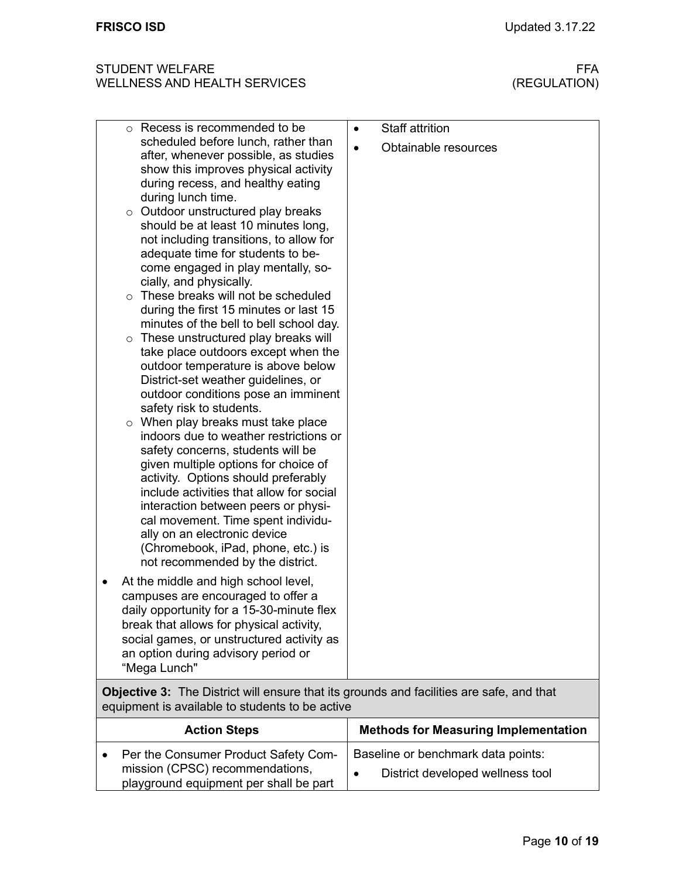| <b>ACTION OTENS</b>                                                                                               | <b>INCLIDUS IOF MEASURING IMPIGNMENTATION</b>                          |
|-------------------------------------------------------------------------------------------------------------------|------------------------------------------------------------------------|
| Per the Consumer Product Safety Com-<br>mission (CPSC) recommendations,<br>playground equipment per shall be part | Baseline or benchmark data points:<br>District developed wellness tool |
|                                                                                                                   |                                                                        |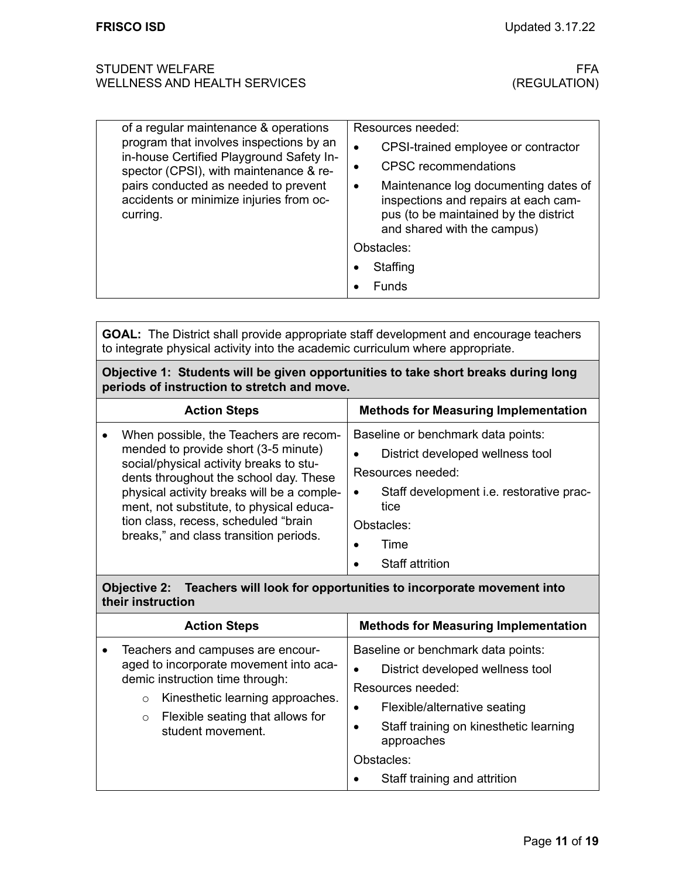| of a regular maintenance & operations                                                                                                                                                                                        | Resources needed:                                                                                                                                         |  |
|------------------------------------------------------------------------------------------------------------------------------------------------------------------------------------------------------------------------------|-----------------------------------------------------------------------------------------------------------------------------------------------------------|--|
| program that involves inspections by an<br>in-house Certified Playground Safety In-<br>spector (CPSI), with maintenance & re-<br>pairs conducted as needed to prevent<br>accidents or minimize injuries from oc-<br>curring. | CPSI-trained employee or contractor                                                                                                                       |  |
|                                                                                                                                                                                                                              | <b>CPSC</b> recommendations                                                                                                                               |  |
|                                                                                                                                                                                                                              | Maintenance log documenting dates of<br>٠<br>inspections and repairs at each cam-<br>pus (to be maintained by the district<br>and shared with the campus) |  |
|                                                                                                                                                                                                                              | Obstacles:                                                                                                                                                |  |
|                                                                                                                                                                                                                              | Staffing                                                                                                                                                  |  |
|                                                                                                                                                                                                                              | Funds                                                                                                                                                     |  |

**GOAL:** The District shall provide appropriate staff development and encourage teachers to integrate physical activity into the academic curriculum where appropriate.

**Objective 1: Students will be given opportunities to take short breaks during long periods of instruction to stretch and move.**

| <b>Action Steps</b>                                                                                                                                                                                                                                                                                                                             | <b>Methods for Measuring Implementation</b>                                                                                                                                                                  |
|-------------------------------------------------------------------------------------------------------------------------------------------------------------------------------------------------------------------------------------------------------------------------------------------------------------------------------------------------|--------------------------------------------------------------------------------------------------------------------------------------------------------------------------------------------------------------|
| When possible, the Teachers are recom-<br>mended to provide short (3-5 minute)<br>social/physical activity breaks to stu-<br>dents throughout the school day. These<br>physical activity breaks will be a comple-<br>ment, not substitute, to physical educa-<br>tion class, recess, scheduled "brain<br>breaks," and class transition periods. | Baseline or benchmark data points:<br>District developed wellness tool<br>Resources needed:<br>Staff development i.e. restorative prac-<br>$\bullet$<br>tice<br>Obstacles:<br>Time<br><b>Staff attrition</b> |

### **Objective 2: Teachers will look for opportunities to incorporate movement into their instruction**

| <b>Action Steps</b> |                                                                                                                                                                                                                                   | <b>Methods for Measuring Implementation</b>                                                                                                                                                                                                    |  |
|---------------------|-----------------------------------------------------------------------------------------------------------------------------------------------------------------------------------------------------------------------------------|------------------------------------------------------------------------------------------------------------------------------------------------------------------------------------------------------------------------------------------------|--|
|                     | Teachers and campuses are encour-<br>aged to incorporate movement into aca-<br>demic instruction time through:<br>Kinesthetic learning approaches.<br>$\circ$<br>Flexible seating that allows for<br>$\circ$<br>student movement. | Baseline or benchmark data points:<br>District developed wellness tool<br>Resources needed:<br>Flexible/alternative seating<br>Staff training on kinesthetic learning<br>$\bullet$<br>approaches<br>Obstacles:<br>Staff training and attrition |  |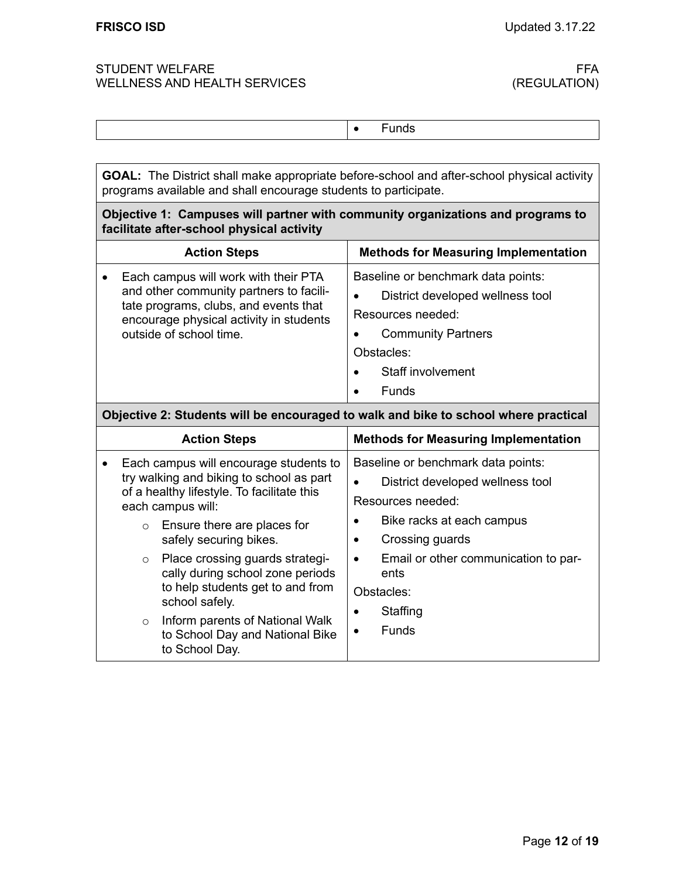|--|

**GOAL:** The District shall make appropriate before-school and after-school physical activity programs available and shall encourage students to participate.

## **Objective 1: Campuses will partner with community organizations and programs to facilitate after-school physical activity**

|                                                                                     | <b>Action Steps</b>                                                                                                                                                                            | <b>Methods for Measuring Implementation</b>                                                                                                                                 |  |
|-------------------------------------------------------------------------------------|------------------------------------------------------------------------------------------------------------------------------------------------------------------------------------------------|-----------------------------------------------------------------------------------------------------------------------------------------------------------------------------|--|
|                                                                                     | Each campus will work with their PTA<br>and other community partners to facili-<br>tate programs, clubs, and events that<br>encourage physical activity in students<br>outside of school time. | Baseline or benchmark data points:<br>District developed wellness tool<br>Resources needed:<br><b>Community Partners</b><br>Obstacles:<br>Staff involvement<br><b>Funds</b> |  |
| Objective 2: Students will be encouraged to walk and bike to school where practical |                                                                                                                                                                                                |                                                                                                                                                                             |  |
|                                                                                     |                                                                                                                                                                                                |                                                                                                                                                                             |  |
|                                                                                     | <b>Action Steps</b>                                                                                                                                                                            | <b>Methods for Measuring Implementation</b>                                                                                                                                 |  |
|                                                                                     | Each campus will encourage students to<br>try walking and biking to school as part<br>of a healthy lifestyle. To facilitate this<br>each campus will:                                          | Baseline or benchmark data points:<br>District developed wellness tool<br>Resources needed:                                                                                 |  |
|                                                                                     | Ensure there are places for<br>$\circ$<br>safely securing bikes.                                                                                                                               | Bike racks at each campus<br>Crossing guards<br>$\bullet$                                                                                                                   |  |

| to help students get to and from<br>school safely.                         | Obstacles:               |  |  |
|----------------------------------------------------------------------------|--------------------------|--|--|
| $\circ$ Inform parents of National Walk<br>to School Day and National Bike | Staffing<br><b>Funds</b> |  |  |
| to School Day.                                                             |                          |  |  |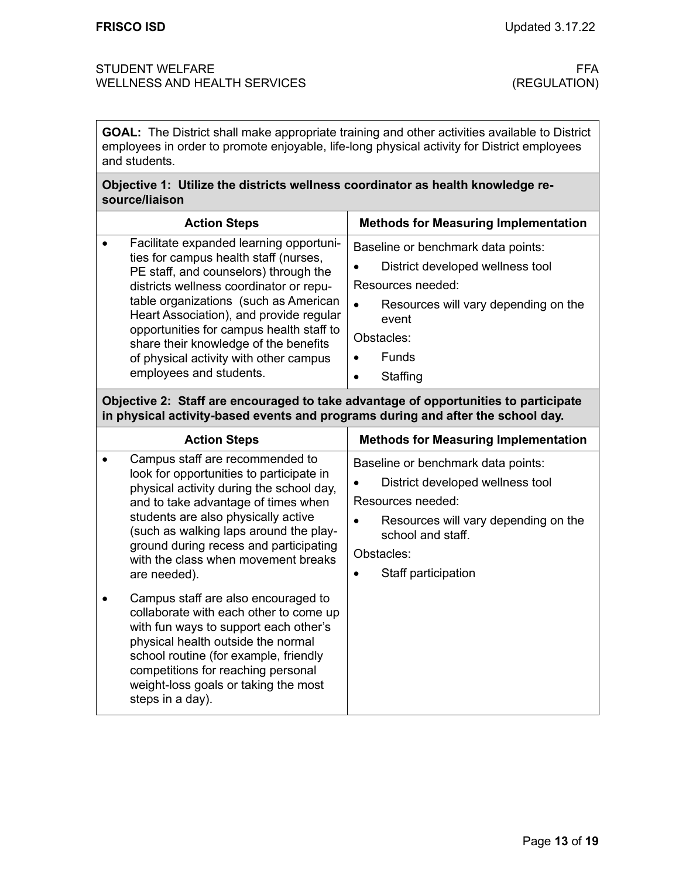**GOAL:** The District shall make appropriate training and other activities available to District employees in order to promote enjoyable, life-long physical activity for District employees and students.

### **Objective 1: Utilize the districts wellness coordinator as health knowledge resource/liaison**

| <b>Action Steps</b>                                                                                                                                                                                                                                                                                                                                                                                                |                     | <b>Methods for Measuring Implementation</b>                                                                                                                                            |  |
|--------------------------------------------------------------------------------------------------------------------------------------------------------------------------------------------------------------------------------------------------------------------------------------------------------------------------------------------------------------------------------------------------------------------|---------------------|----------------------------------------------------------------------------------------------------------------------------------------------------------------------------------------|--|
| Facilitate expanded learning opportuni-<br>ties for campus health staff (nurses,<br>PE staff, and counselors) through the<br>districts wellness coordinator or repu-<br>table organizations (such as American<br>Heart Association), and provide regular<br>opportunities for campus health staff to<br>share their knowledge of the benefits<br>of physical activity with other campus<br>employees and students. | ٠<br>$\bullet$<br>٠ | Baseline or benchmark data points:<br>District developed wellness tool<br>Resources needed:<br>Resources will vary depending on the<br>event<br>Obstacles:<br><b>Funds</b><br>Staffing |  |

# **Objective 2: Staff are encouraged to take advantage of opportunities to participate in physical activity-based events and programs during and after the school day.**

| <b>Action Steps</b>                                                                                                                                                                                                                                                                                                                              | <b>Methods for Measuring Implementation</b>                                                                                                                                                   |
|--------------------------------------------------------------------------------------------------------------------------------------------------------------------------------------------------------------------------------------------------------------------------------------------------------------------------------------------------|-----------------------------------------------------------------------------------------------------------------------------------------------------------------------------------------------|
| Campus staff are recommended to<br>look for opportunities to participate in<br>physical activity during the school day,<br>and to take advantage of times when<br>students are also physically active<br>(such as walking laps around the play-<br>ground during recess and participating<br>with the class when movement breaks<br>are needed). | Baseline or benchmark data points:<br>District developed wellness tool<br>Resources needed:<br>Resources will vary depending on the<br>school and staff.<br>Obstacles:<br>Staff participation |
| Campus staff are also encouraged to<br>collaborate with each other to come up<br>with fun ways to support each other's<br>physical health outside the normal<br>school routine (for example, friendly<br>competitions for reaching personal<br>weight-loss goals or taking the most<br>steps in a day).                                          |                                                                                                                                                                                               |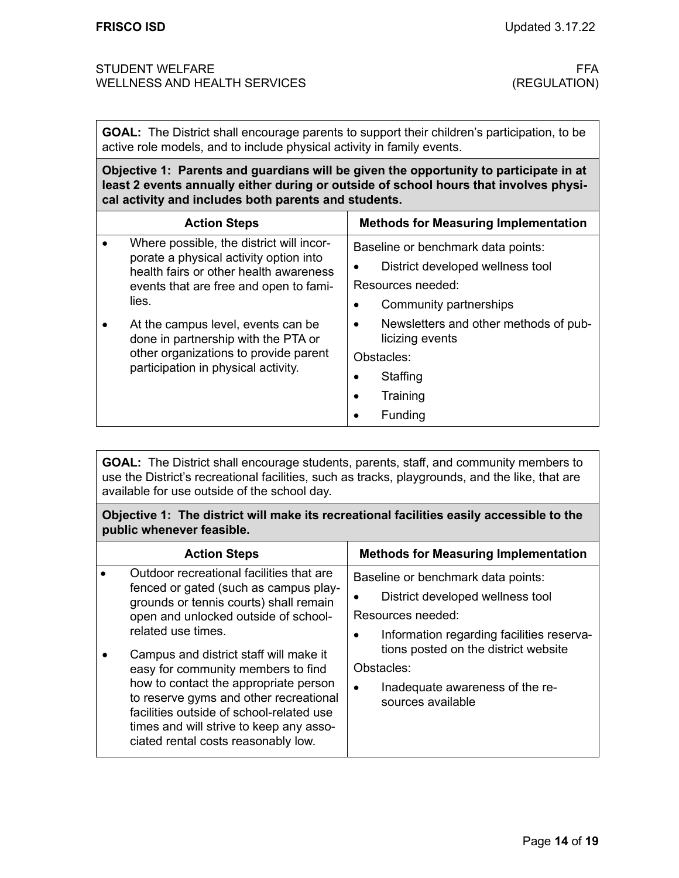**GOAL:** The District shall encourage parents to support their children's participation, to be active role models, and to include physical activity in family events.

**Objective 1: Parents and guardians will be given the opportunity to participate in at least 2 events annually either during or outside of school hours that involves physical activity and includes both parents and students.**

|       | <b>Action Steps</b>                                                                                                          |                                    | <b>Methods for Measuring Implementation</b>              |
|-------|------------------------------------------------------------------------------------------------------------------------------|------------------------------------|----------------------------------------------------------|
| lies. | Where possible, the district will incor-<br>porate a physical activity option into<br>health fairs or other health awareness | Baseline or benchmark data points: |                                                          |
|       |                                                                                                                              |                                    | District developed wellness tool                         |
|       | events that are free and open to fami-                                                                                       | Resources needed:                  |                                                          |
|       |                                                                                                                              |                                    | Community partnerships                                   |
|       | At the campus level, events can be<br>done in partnership with the PTA or                                                    | $\bullet$                          | Newsletters and other methods of pub-<br>licizing events |
|       | other organizations to provide parent<br>participation in physical activity.                                                 | Obstacles:                         |                                                          |
|       |                                                                                                                              |                                    | Staffing                                                 |
|       |                                                                                                                              | ٠                                  | Training                                                 |
|       |                                                                                                                              |                                    | Funding                                                  |

**GOAL:** The District shall encourage students, parents, staff, and community members to use the District's recreational facilities, such as tracks, playgrounds, and the like, that are available for use outside of the school day.

**Objective 1: The district will make its recreational facilities easily accessible to the public whenever feasible.**

| <b>Action Steps</b>                                                                                                                                                                                                                                                                                                                                                                                                                                                                        | <b>Methods for Measuring Implementation</b>                                                                                                                                                                                                                              |
|--------------------------------------------------------------------------------------------------------------------------------------------------------------------------------------------------------------------------------------------------------------------------------------------------------------------------------------------------------------------------------------------------------------------------------------------------------------------------------------------|--------------------------------------------------------------------------------------------------------------------------------------------------------------------------------------------------------------------------------------------------------------------------|
| Outdoor recreational facilities that are<br>fenced or gated (such as campus play-<br>grounds or tennis courts) shall remain<br>open and unlocked outside of school-<br>related use times.<br>Campus and district staff will make it<br>easy for community members to find<br>how to contact the appropriate person<br>to reserve gyms and other recreational<br>facilities outside of school-related use<br>times and will strive to keep any asso-<br>ciated rental costs reasonably low. | Baseline or benchmark data points:<br>District developed wellness tool<br>Resources needed:<br>Information regarding facilities reserva-<br>٠<br>tions posted on the district website<br>Obstacles:<br>Inadequate awareness of the re-<br>$\bullet$<br>sources available |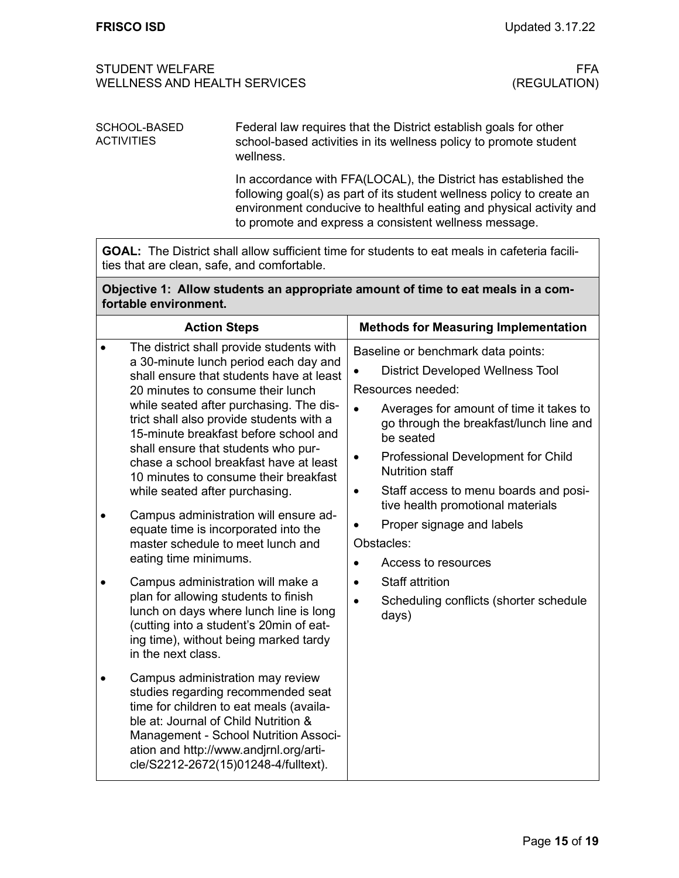Federal law requires that the District establish goals for other school-based activities in its wellness policy to promote student wellness. In accordance with FFA(LOCAL), the District has established the SCHOOL-BASED **ACTIVITIES** 

following goal(s) as part of its student wellness policy to create an environment conducive to healthful eating and physical activity and to promote and express a consistent wellness message.

**GOAL:** The District shall allow sufficient time for students to eat meals in cafeteria facilities that are clean, safe, and comfortable.

| Objective 1: Allow students an appropriate amount of time to eat meals in a com- |
|----------------------------------------------------------------------------------|
| fortable environment.                                                            |

|                                                                                                                    | <b>Action Steps</b>                                                                                                                                                                                                                                                                  | <b>Methods for Measuring Implementation</b>                                                                  |
|--------------------------------------------------------------------------------------------------------------------|--------------------------------------------------------------------------------------------------------------------------------------------------------------------------------------------------------------------------------------------------------------------------------------|--------------------------------------------------------------------------------------------------------------|
|                                                                                                                    | The district shall provide students with<br>a 30-minute lunch period each day and                                                                                                                                                                                                    | Baseline or benchmark data points:                                                                           |
|                                                                                                                    | shall ensure that students have at least<br>20 minutes to consume their lunch<br>while seated after purchasing. The dis-                                                                                                                                                             | <b>District Developed Wellness Tool</b>                                                                      |
|                                                                                                                    |                                                                                                                                                                                                                                                                                      | Resources needed:                                                                                            |
|                                                                                                                    | trict shall also provide students with a<br>15-minute breakfast before school and                                                                                                                                                                                                    | Averages for amount of time it takes to<br>$\bullet$<br>go through the breakfast/lunch line and<br>be seated |
|                                                                                                                    | shall ensure that students who pur-<br>chase a school breakfast have at least<br>10 minutes to consume their breakfast                                                                                                                                                               | Professional Development for Child<br><b>Nutrition staff</b>                                                 |
|                                                                                                                    | while seated after purchasing.                                                                                                                                                                                                                                                       | Staff access to menu boards and posi-<br>٠<br>tive health promotional materials                              |
| Campus administration will ensure ad-<br>equate time is incorporated into the<br>master schedule to meet lunch and | Proper signage and labels                                                                                                                                                                                                                                                            |                                                                                                              |
|                                                                                                                    |                                                                                                                                                                                                                                                                                      | Obstacles:                                                                                                   |
|                                                                                                                    | eating time minimums.                                                                                                                                                                                                                                                                | Access to resources                                                                                          |
|                                                                                                                    | Campus administration will make a                                                                                                                                                                                                                                                    | <b>Staff attrition</b>                                                                                       |
|                                                                                                                    | plan for allowing students to finish<br>lunch on days where lunch line is long<br>(cutting into a student's 20min of eat-<br>ing time), without being marked tardy<br>in the next class.                                                                                             | Scheduling conflicts (shorter schedule<br>days)                                                              |
|                                                                                                                    | Campus administration may review<br>studies regarding recommended seat<br>time for children to eat meals (availa-<br>ble at: Journal of Child Nutrition &<br>Management - School Nutrition Associ-<br>ation and http://www.andjrnl.org/arti-<br>cle/S2212-2672(15)01248-4/fulltext). |                                                                                                              |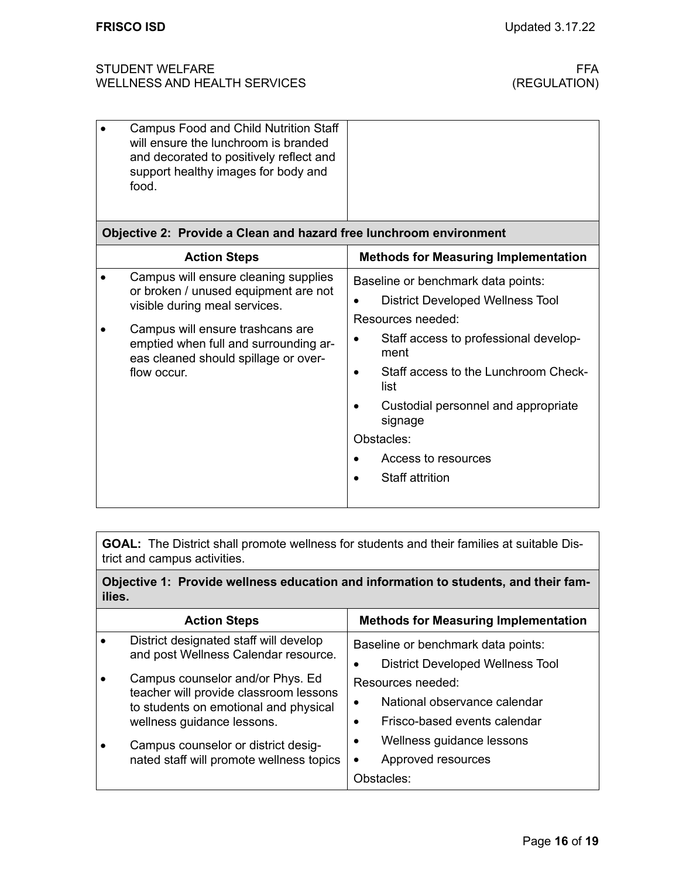| <b>Campus Food and Child Nutrition Staff</b><br>will ensure the lunchroom is branded<br>and decorated to positively reflect and<br>support healthy images for body and<br>food.                                                                   |                                                                                                                                                                                                                                                                                                                      |
|---------------------------------------------------------------------------------------------------------------------------------------------------------------------------------------------------------------------------------------------------|----------------------------------------------------------------------------------------------------------------------------------------------------------------------------------------------------------------------------------------------------------------------------------------------------------------------|
| Objective 2: Provide a Clean and hazard free lunchroom environment                                                                                                                                                                                |                                                                                                                                                                                                                                                                                                                      |
| <b>Action Steps</b>                                                                                                                                                                                                                               | <b>Methods for Measuring Implementation</b>                                                                                                                                                                                                                                                                          |
| Campus will ensure cleaning supplies<br>or broken / unused equipment are not<br>visible during meal services.<br>Campus will ensure trashcans are<br>emptied when full and surrounding ar-<br>eas cleaned should spillage or over-<br>flow occur. | Baseline or benchmark data points:<br><b>District Developed Wellness Tool</b><br>Resources needed:<br>Staff access to professional develop-<br>ment<br>Staff access to the Lunchroom Check-<br>list<br>Custodial personnel and appropriate<br>signage<br>Obstacles:<br>Access to resources<br><b>Staff attrition</b> |

**GOAL:** The District shall promote wellness for students and their families at suitable District and campus activities.

**Objective 1: Provide wellness education and information to students, and their families.**

|  | <b>Action Steps</b>                                                             | <b>Methods for Measuring Implementation</b> |
|--|---------------------------------------------------------------------------------|---------------------------------------------|
|  | District designated staff will develop                                          | Baseline or benchmark data points:          |
|  | and post Wellness Calendar resource.                                            | <b>District Developed Wellness Tool</b>     |
|  | Campus counselor and/or Phys. Ed                                                | Resources needed:                           |
|  | teacher will provide classroom lessons<br>to students on emotional and physical | National observance calendar                |
|  | wellness guidance lessons.                                                      | Frisco-based events calendar                |
|  | Campus counselor or district desig-                                             | Wellness guidance lessons                   |
|  | nated staff will promote wellness topics                                        | Approved resources                          |
|  |                                                                                 | Obstacles:                                  |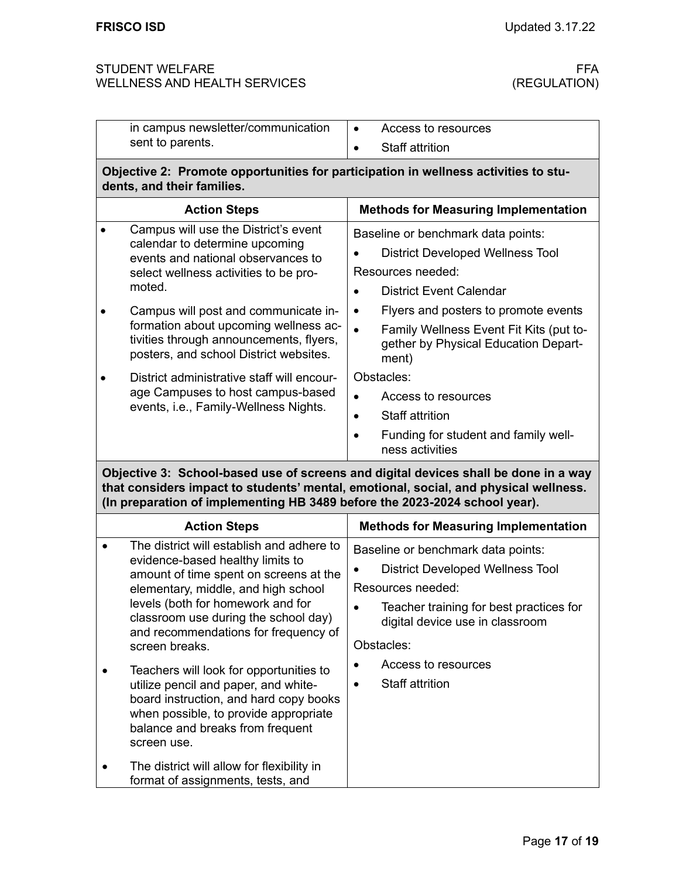|                                                                                                                                                                                                                                                           | in campus newsletter/communication                                                                                                                                                                                                                                                                                                                                                                                                                                                                                                                    | Access to resources<br>$\bullet$                                                                                                                                                                                                                                                                                                                                                                                                          |  |
|-----------------------------------------------------------------------------------------------------------------------------------------------------------------------------------------------------------------------------------------------------------|-------------------------------------------------------------------------------------------------------------------------------------------------------------------------------------------------------------------------------------------------------------------------------------------------------------------------------------------------------------------------------------------------------------------------------------------------------------------------------------------------------------------------------------------------------|-------------------------------------------------------------------------------------------------------------------------------------------------------------------------------------------------------------------------------------------------------------------------------------------------------------------------------------------------------------------------------------------------------------------------------------------|--|
|                                                                                                                                                                                                                                                           | sent to parents.                                                                                                                                                                                                                                                                                                                                                                                                                                                                                                                                      | <b>Staff attrition</b>                                                                                                                                                                                                                                                                                                                                                                                                                    |  |
| Objective 2: Promote opportunities for participation in wellness activities to stu-<br>dents, and their families.                                                                                                                                         |                                                                                                                                                                                                                                                                                                                                                                                                                                                                                                                                                       |                                                                                                                                                                                                                                                                                                                                                                                                                                           |  |
|                                                                                                                                                                                                                                                           | <b>Action Steps</b>                                                                                                                                                                                                                                                                                                                                                                                                                                                                                                                                   | <b>Methods for Measuring Implementation</b>                                                                                                                                                                                                                                                                                                                                                                                               |  |
|                                                                                                                                                                                                                                                           | Campus will use the District's event<br>calendar to determine upcoming<br>events and national observances to<br>select wellness activities to be pro-<br>moted.<br>Campus will post and communicate in-<br>formation about upcoming wellness ac-<br>tivities through announcements, flyers,<br>posters, and school District websites.<br>District administrative staff will encour-<br>age Campuses to host campus-based<br>events, i.e., Family-Wellness Nights.                                                                                     | Baseline or benchmark data points:<br><b>District Developed Wellness Tool</b><br>Resources needed:<br><b>District Event Calendar</b><br>$\bullet$<br>Flyers and posters to promote events<br>$\bullet$<br>Family Wellness Event Fit Kits (put to-<br>$\bullet$<br>gether by Physical Education Depart-<br>ment)<br>Obstacles:<br>Access to resources<br><b>Staff attrition</b><br>Funding for student and family well-<br>ness activities |  |
| Objective 3: School-based use of screens and digital devices shall be done in a way<br>that considers impact to students' mental, emotional, social, and physical wellness.<br>(In preparation of implementing HB 3489 before the 2023-2024 school year). |                                                                                                                                                                                                                                                                                                                                                                                                                                                                                                                                                       |                                                                                                                                                                                                                                                                                                                                                                                                                                           |  |
|                                                                                                                                                                                                                                                           |                                                                                                                                                                                                                                                                                                                                                                                                                                                                                                                                                       |                                                                                                                                                                                                                                                                                                                                                                                                                                           |  |
| $\bullet$                                                                                                                                                                                                                                                 | <b>Action Steps</b><br>The district will establish and adhere to<br>evidence-based healthy limits to<br>amount of time spent on screens at the<br>elementary, middle, and high school<br>levels (both for homework and for<br>classroom use during the school day)<br>and recommendations for frequency of<br>screen breaks.<br>Teachers will look for opportunities to<br>utilize pencil and paper, and white-<br>board instruction, and hard copy books<br>when possible, to provide appropriate<br>balance and breaks from frequent<br>screen use. | <b>Methods for Measuring Implementation</b><br>Baseline or benchmark data points:<br><b>District Developed Wellness Tool</b><br>Resources needed:<br>Teacher training for best practices for<br>digital device use in classroom<br>Obstacles:<br>Access to resources<br><b>Staff attrition</b><br>٠                                                                                                                                       |  |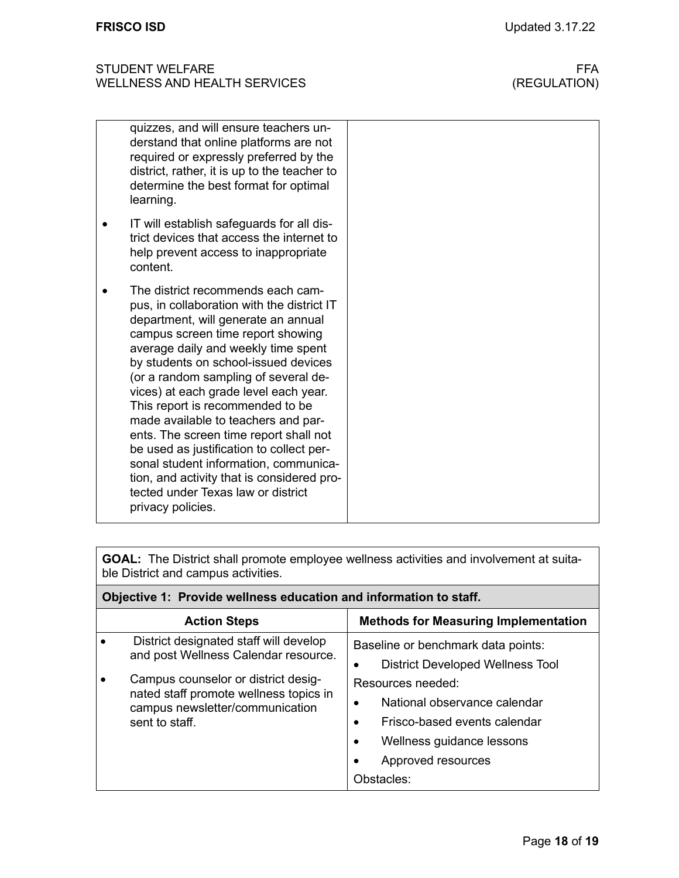| quizzes, and will ensure teachers un-<br>derstand that online platforms are not<br>required or expressly preferred by the<br>district, rather, it is up to the teacher to<br>determine the best format for optimal<br>learning.                                                                                                                                                                                                                                                                                                                                                                                                                |
|------------------------------------------------------------------------------------------------------------------------------------------------------------------------------------------------------------------------------------------------------------------------------------------------------------------------------------------------------------------------------------------------------------------------------------------------------------------------------------------------------------------------------------------------------------------------------------------------------------------------------------------------|
| IT will establish safeguards for all dis-<br>trict devices that access the internet to<br>help prevent access to inappropriate<br>content.                                                                                                                                                                                                                                                                                                                                                                                                                                                                                                     |
| The district recommends each cam-<br>pus, in collaboration with the district IT<br>department, will generate an annual<br>campus screen time report showing<br>average daily and weekly time spent<br>by students on school-issued devices<br>(or a random sampling of several de-<br>vices) at each grade level each year.<br>This report is recommended to be<br>made available to teachers and par-<br>ents. The screen time report shall not<br>be used as justification to collect per-<br>sonal student information, communica-<br>tion, and activity that is considered pro-<br>tected under Texas law or district<br>privacy policies. |

**GOAL:** The District shall promote employee wellness activities and involvement at suitable District and campus activities.

| Objective 1: Provide wellness education and information to staff. |                                                                                                                                    |                                                                                                                                                                              |
|-------------------------------------------------------------------|------------------------------------------------------------------------------------------------------------------------------------|------------------------------------------------------------------------------------------------------------------------------------------------------------------------------|
|                                                                   | <b>Action Steps</b>                                                                                                                | <b>Methods for Measuring Implementation</b>                                                                                                                                  |
|                                                                   | District designated staff will develop<br>and post Wellness Calendar resource.                                                     | Baseline or benchmark data points:<br><b>District Developed Wellness Tool</b>                                                                                                |
|                                                                   | Campus counselor or district desig-<br>nated staff promote wellness topics in<br>campus newsletter/communication<br>sent to staff. | Resources needed:<br>National observance calendar<br>Frisco-based events calendar<br>$\bullet$<br>Wellness guidance lessons<br>$\bullet$<br>Approved resources<br>Obstacles: |